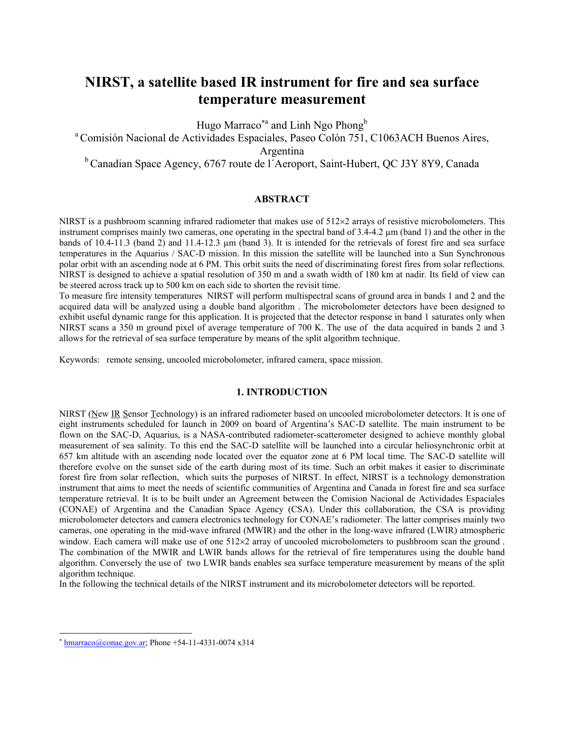# **NIRST, a satellite based IR instrument for fire and sea surface temperature measurement**

Hugo Marraco<sup>\*a</sup> and Linh Ngo Phong<sup>b</sup>

a Comisión Nacional de Actividades Espaciales, Paseo Colón 751, C1063ACH Buenos Aires, Argentina

<sup>b</sup> Canadian Space Agency, 6767 route de l<sup>7</sup>Aeroport, Saint-Hubert, QC J3Y 8Y9, Canada

## **ABSTRACT**

NIRST is a pushbroom scanning infrared radiometer that makes use of  $512\times2$  arrays of resistive microbolometers. This instrument comprises mainly two cameras, one operating in the spectral band of 3.4-4.2 µm (band 1) and the other in the bands of 10.4-11.3 (band 2) and 11.4-12.3 µm (band 3). It is intended for the retrievals of forest fire and sea surface temperatures in the Aquarius / SAC-D mission. In this mission the satellite will be launched into a Sun Synchronous polar orbit with an ascending node at 6 PM. This orbit suits the need of discriminating forest fires from solar reflections. NIRST is designed to achieve a spatial resolution of 350 m and a swath width of 180 km at nadir. Its field of view can be steered across track up to 500 km on each side to shorten the revisit time.

To measure fire intensity temperatures NIRST will perform multispectral scans of ground area in bands 1 and 2 and the acquired data will be analyzed using a double band algorithm . The microbolometer detectors have been designed to exhibit useful dynamic range for this application. It is projected that the detector response in band 1 saturates only when NIRST scans a 350 m ground pixel of average temperature of 700 K. The use of the data acquired in bands 2 and 3 allows for the retrieval of sea surface temperature by means of the split algorithm technique.

Keywords: remote sensing, uncooled microbolometer, infrared camera, space mission.

# **1. INTRODUCTION**

NIRST (New IR Sensor Technology) is an infrared radiometer based on uncooled microbolometer detectors. It is one of eight instruments scheduled for launch in 2009 on board of Argentina's SAC-D satellite. The main instrument to be flown on the SAC-D, Aquarius, is a NASA-contributed radiometer-scatterometer designed to achieve monthly global measurement of sea salinity. To this end the SAC-D satellite will be launched into a circular heliosynchronic orbit at 657 km altitude with an ascending node located over the equator zone at 6 PM local time. The SAC-D satellite will therefore evolve on the sunset side of the earth during most of its time. Such an orbit makes it easier to discriminate forest fire from solar reflection, which suits the purposes of NIRST. In effect, NIRST is a technology demonstration instrument that aims to meet the needs of scientific communities of Argentina and Canada in forest fire and sea surface temperature retrieval. It is to be built under an Agreement between the Comision Nacional de Actividades Espaciales (CONAE) of Argentina and the Canadian Space Agency (CSA). Under this collaboration, the CSA is providing microbolometer detectors and camera electronics technology for CONAE's radiometer. The latter comprises mainly two cameras, one operating in the mid-wave infrared (MWIR) and the other in the long-wave infrared (LWIR) atmospheric window. Each camera will make use of one 512×2 array of uncooled microbolometers to pushbroom scan the ground . The combination of the MWIR and LWIR bands allows for the retrieval of fire temperatures using the double band algorithm. Conversely the use of two LWIR bands enables sea surface temperature measurement by means of the split algorithm technique.

In the following the technical details of the NIRST instrument and its microbolometer detectors will be reported.

 $\overline{a}$ 

hmarraco@conae.gov.ar; Phone +54-11-4331-0074 x314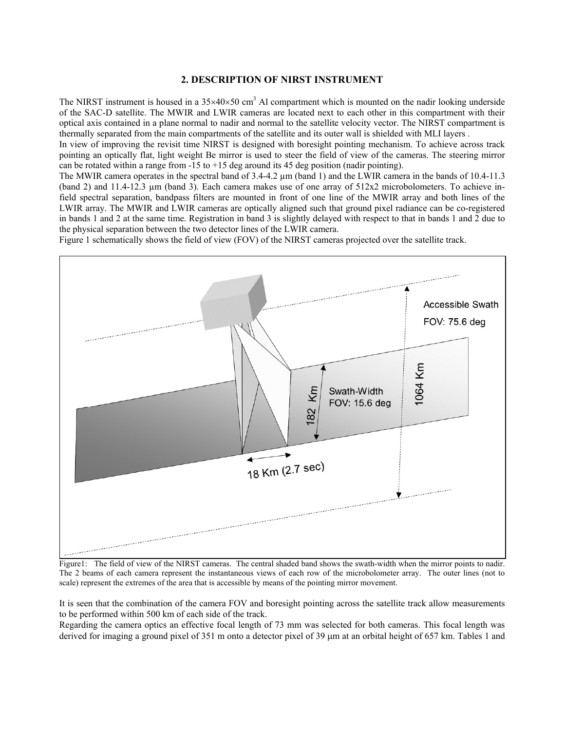#### **2. DESCRIPTION OF NIRST INSTRUMENT**

The NIRST instrument is housed in a  $35\times40\times50$  cm<sup>3</sup> Al compartment which is mounted on the nadir looking underside of the SAC-D satellite. The MWIR and LWIR cameras are located next to each other in this compartment with their optical axis contained in a plane normal to nadir and normal to the satellite velocity vector. The NIRST compartment is thermally separated from the main compartments of the satellite and its outer wall is shielded with MLI layers .

In view of improving the revisit time NIRST is designed with boresight pointing mechanism. To achieve across track pointing an optically flat, light weight Be mirror is used to steer the field of view of the cameras. The steering mirror can be rotated within a range from  $-15$  to  $+15$  deg around its 45 deg position (nadir pointing).

The MWIR camera operates in the spectral band of 3.4-4.2  $\mu$ m (band 1) and the LWIR camera in the bands of 10.4-11.3 (band 2) and 11.4-12.3 µm (band 3). Each camera makes use of one array of 512x2 microbolometers. To achieve infield spectral separation, bandpass filters are mounted in front of one line of the MWIR array and both lines of the LWIR array. The MWIR and LWIR cameras are optically aligned such that ground pixel radiance can be co-registered in bands 1 and 2 at the same time. Registration in band 3 is slightly delayed with respect to that in bands 1 and 2 due to the physical separation between the two detector lines of the LWIR camera.

Figure 1 schematically shows the field of view (FOV) of the NIRST cameras projected over the satellite track.



Figure1: The field of view of the NIRST cameras. The central shaded band shows the swath-width when the mirror points to nadir. The 2 beams of each camera represent the instantaneous views of each row of the microbolometer array. The outer lines (not to scale) represent the extremes of the area that is accessible by means of the pointing mirror movement.

It is seen that the combination of the camera FOV and boresight pointing across the satellite track allow measurements to be performed within 500 km of each side of the track.

Regarding the camera optics an effective focal length of 73 mm was selected for both cameras. This focal length was derived for imaging a ground pixel of 351 m onto a detector pixel of 39  $\mu$ m at an orbital height of 657 km. Tables 1 and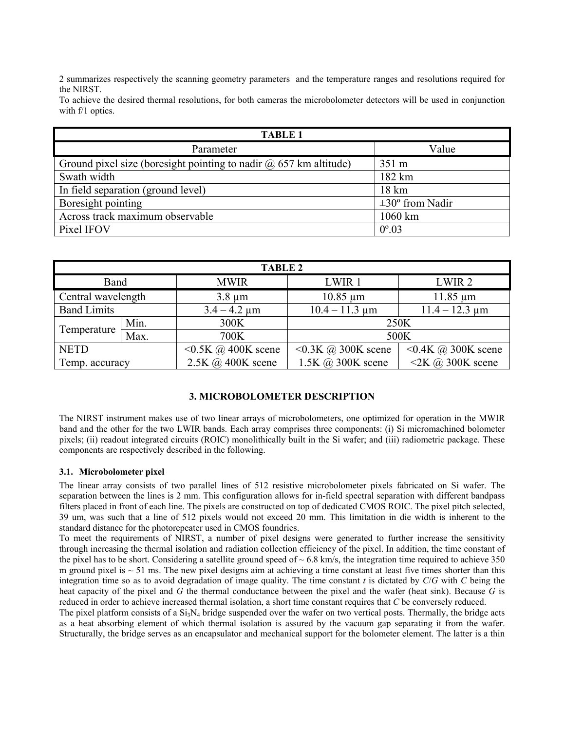2 summarizes respectively the scanning geometry parameters and the temperature ranges and resolutions required for the NIRST.

To achieve the desired thermal resolutions, for both cameras the microbolometer detectors will be used in conjunction with f/1 optics.

| <b>TABLE 1</b>                                                        |                             |  |  |  |  |
|-----------------------------------------------------------------------|-----------------------------|--|--|--|--|
| Parameter                                                             | Value                       |  |  |  |  |
| Ground pixel size (boresight pointing to nadir $(a)$ 657 km altitude) | 351 m                       |  |  |  |  |
| Swath width                                                           | 182 km                      |  |  |  |  |
| In field separation (ground level)                                    | $18 \text{ km}$             |  |  |  |  |
| Boresight pointing                                                    | $\pm 30^{\circ}$ from Nadir |  |  |  |  |
| Across track maximum observable                                       | 1060 km                     |  |  |  |  |
| Pixel IFOV                                                            | $0^{\circ}.03$              |  |  |  |  |

| <b>TABLE 2</b>     |                                                    |                                 |                                 |                                 |  |  |  |
|--------------------|----------------------------------------------------|---------------------------------|---------------------------------|---------------------------------|--|--|--|
| Band               |                                                    | <b>MWIR</b>                     | LWIR 1                          | LWIR <sub>2</sub>               |  |  |  |
|                    | Central wavelength<br>$10.85 \mu m$<br>$3.8 \mu m$ |                                 | $11.85 \mu m$                   |                                 |  |  |  |
| <b>Band Limits</b> |                                                    | $3.4 - 4.2 \mu m$               | $10.4 - 11.3 \mu m$             | $11.4 - 12.3 \mu m$             |  |  |  |
| Temperature        | Min.                                               | 300K                            | 250K                            |                                 |  |  |  |
|                    | Max.                                               | 700K                            | 500K                            |                                 |  |  |  |
| <b>NETD</b>        |                                                    | $\leq$ 0.5K $\omega$ 400K scene | $\leq$ 0.3K $\omega$ 300K scene | $\leq$ 0.4K $\omega$ 300K scene |  |  |  |
| Temp. accuracy     |                                                    | $2.5K$ @ 400K scene             | $1.5K$ $\omega$ 300K scene      | $2K$ (a) 300K scene             |  |  |  |

# **3. MICROBOLOMETER DESCRIPTION**

The NIRST instrument makes use of two linear arrays of microbolometers, one optimized for operation in the MWIR band and the other for the two LWIR bands. Each array comprises three components: (i) Si micromachined bolometer pixels; (ii) readout integrated circuits (ROIC) monolithically built in the Si wafer; and (iii) radiometric package. These components are respectively described in the following.

## **3.1. Microbolometer pixel**

The linear array consists of two parallel lines of 512 resistive microbolometer pixels fabricated on Si wafer. The separation between the lines is 2 mm. This configuration allows for in-field spectral separation with different bandpass filters placed in front of each line. The pixels are constructed on top of dedicated CMOS ROIC. The pixel pitch selected, 39 um, was such that a line of 512 pixels would not exceed 20 mm. This limitation in die width is inherent to the standard distance for the photorepeater used in CMOS foundries.

To meet the requirements of NIRST, a number of pixel designs were generated to further increase the sensitivity through increasing the thermal isolation and radiation collection efficiency of the pixel. In addition, the time constant of the pixel has to be short. Considering a satellite ground speed of  $\sim 6.8$  km/s, the integration time required to achieve 350 m ground pixel is  $\sim$  51 ms. The new pixel designs aim at achieving a time constant at least five times shorter than this integration time so as to avoid degradation of image quality. The time constant  $t$  is dictated by  $C/G$  with  $C$  being the heat capacity of the pixel and *G* the thermal conductance between the pixel and the wafer (heat sink). Because *G* is reduced in order to achieve increased thermal isolation, a short time constant requires that *C* be conversely reduced.

The pixel platform consists of a  $Si<sub>3</sub>N<sub>4</sub>$  bridge suspended over the wafer on two vertical posts. Thermally, the bridge acts as a heat absorbing element of which thermal isolation is assured by the vacuum gap separating it from the wafer. Structurally, the bridge serves as an encapsulator and mechanical support for the bolometer element. The latter is a thin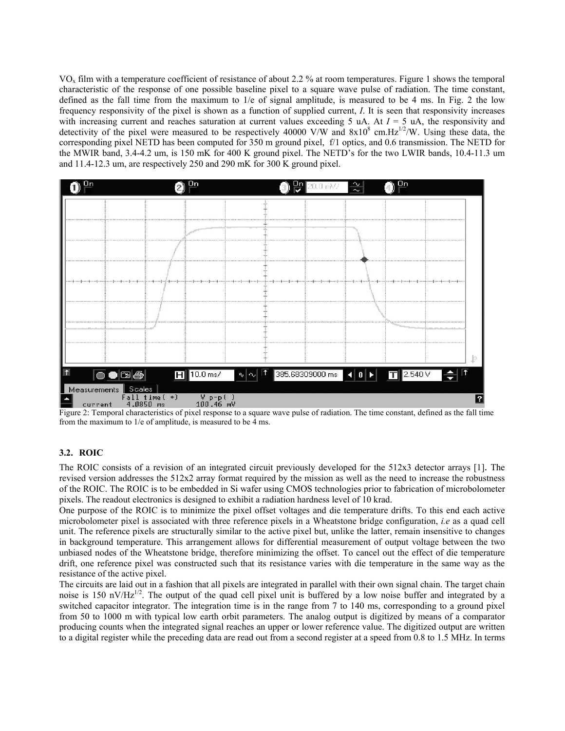$VO<sub>x</sub>$  film with a temperature coefficient of resistance of about 2.2 % at room temperatures. Figure 1 shows the temporal characteristic of the response of one possible baseline pixel to a square wave pulse of radiation. The time constant, defined as the fall time from the maximum to 1/e of signal amplitude, is measured to be 4 ms. In Fig. 2 the low frequency responsivity of the pixel is shown as a function of supplied current, *I*. It is seen that responsivity increases with increasing current and reaches saturation at current values exceeding 5 uA. At *I* = 5 uA, the responsivity and detectivity of the pixel were measured to be respectively 40000 V/W and  $8x10^8$  cm. Hz<sup>1/2</sup>/W. Using these data, the corresponding pixel NETD has been computed for 350 m ground pixel, f/1 optics, and 0.6 transmission. The NETD for the MWIR band, 3.4-4.2 um, is 150 mK for 400 K ground pixel. The NETD's for the two LWIR bands, 10.4-11.3 um and 11.4-12.3 um, are respectively 250 and 290 mK for 300 K ground pixel.



Figure 2: Temporal characteristics of pixel response to a square wave pulse of radiation. The time constant, defined as the fall time from the maximum to 1/e of amplitude, is measured to be 4 ms.

## **3.2. ROIC**

The ROIC consists of a revision of an integrated circuit previously developed for the 512x3 detector arrays [1]. The revised version addresses the 512x2 array format required by the mission as well as the need to increase the robustness of the ROIC. The ROIC is to be embedded in Si wafer using CMOS technologies prior to fabrication of microbolometer pixels. The readout electronics is designed to exhibit a radiation hardness level of 10 krad.

One purpose of the ROIC is to minimize the pixel offset voltages and die temperature drifts. To this end each active microbolometer pixel is associated with three reference pixels in a Wheatstone bridge configuration, *i.e* as a quad cell unit. The reference pixels are structurally similar to the active pixel but, unlike the latter, remain insensitive to changes in background temperature. This arrangement allows for differential measurement of output voltage between the two unbiased nodes of the Wheatstone bridge, therefore minimizing the offset. To cancel out the effect of die temperature drift, one reference pixel was constructed such that its resistance varies with die temperature in the same way as the resistance of the active pixel.

The circuits are laid out in a fashion that all pixels are integrated in parallel with their own signal chain. The target chain noise is 150 nV/Hz<sup>1/2</sup>. The output of the quad cell pixel unit is buffered by a low noise buffer and integrated by a switched capacitor integrator. The integration time is in the range from 7 to 140 ms, corresponding to a ground pixel from 50 to 1000 m with typical low earth orbit parameters. The analog output is digitized by means of a comparator producing counts when the integrated signal reaches an upper or lower reference value. The digitized output are written to a digital register while the preceding data are read out from a second register at a speed from 0.8 to 1.5 MHz. In terms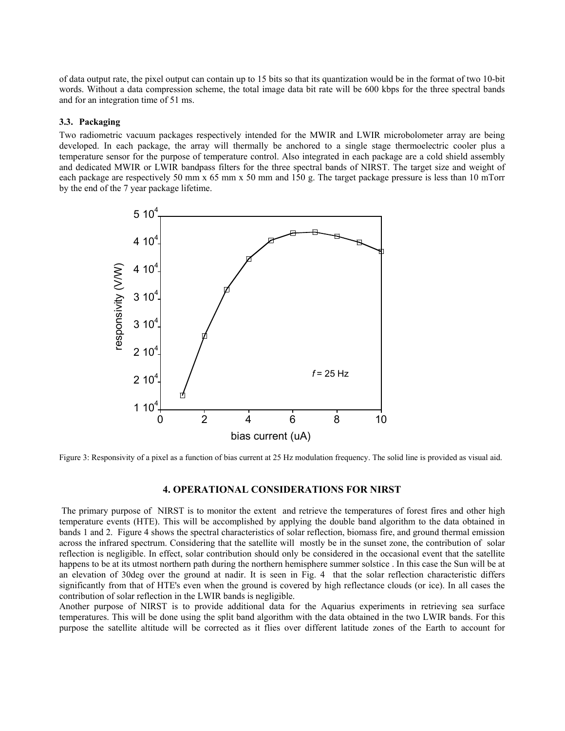of data output rate, the pixel output can contain up to 15 bits so that its quantization would be in the format of two 10-bit words. Without a data compression scheme, the total image data bit rate will be 600 kbps for the three spectral bands and for an integration time of 51 ms.

#### **3.3. Packaging**

Two radiometric vacuum packages respectively intended for the MWIR and LWIR microbolometer array are being developed. In each package, the array will thermally be anchored to a single stage thermoelectric cooler plus a temperature sensor for the purpose of temperature control. Also integrated in each package are a cold shield assembly and dedicated MWIR or LWIR bandpass filters for the three spectral bands of NIRST. The target size and weight of each package are respectively 50 mm x 65 mm x 50 mm and 150 g. The target package pressure is less than 10 mTorr by the end of the 7 year package lifetime.



Figure 3: Responsivity of a pixel as a function of bias current at 25 Hz modulation frequency. The solid line is provided as visual aid.

### **4. OPERATIONAL CONSIDERATIONS FOR NIRST**

 The primary purpose of NIRST is to monitor the extent and retrieve the temperatures of forest fires and other high temperature events (HTE). This will be accomplished by applying the double band algorithm to the data obtained in bands 1 and 2. Figure 4 shows the spectral characteristics of solar reflection, biomass fire, and ground thermal emission across the infrared spectrum. Considering that the satellite will mostly be in the sunset zone, the contribution of solar reflection is negligible. In effect, solar contribution should only be considered in the occasional event that the satellite happens to be at its utmost northern path during the northern hemisphere summer solstice . In this case the Sun will be at an elevation of 30deg over the ground at nadir. It is seen in Fig. 4 that the solar reflection characteristic differs significantly from that of HTE's even when the ground is covered by high reflectance clouds (or ice). In all cases the contribution of solar reflection in the LWIR bands is negligible.

Another purpose of NIRST is to provide additional data for the Aquarius experiments in retrieving sea surface temperatures. This will be done using the split band algorithm with the data obtained in the two LWIR bands. For this purpose the satellite altitude will be corrected as it flies over different latitude zones of the Earth to account for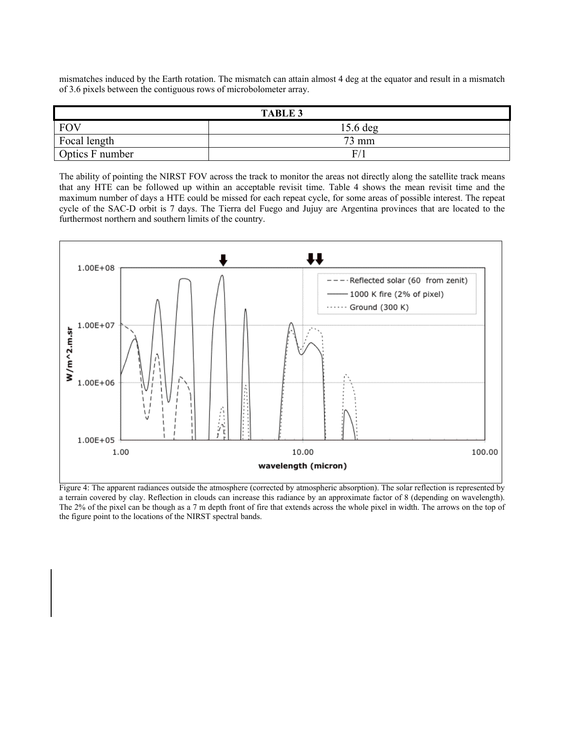mismatches induced by the Earth rotation. The mismatch can attain almost 4 deg at the equator and result in a mismatch of 3.6 pixels between the contiguous rows of microbolometer array.

| <b>TABLE 3</b>  |            |  |  |  |
|-----------------|------------|--|--|--|
| <b>FOV</b>      | $15.6$ deg |  |  |  |
| Focal length    | 73 mm      |  |  |  |
| Optics F number | F          |  |  |  |

The ability of pointing the NIRST FOV across the track to monitor the areas not directly along the satellite track means that any HTE can be followed up within an acceptable revisit time. Table 4 shows the mean revisit time and the maximum number of days a HTE could be missed for each repeat cycle, for some areas of possible interest. The repeat cycle of the SAC-D orbit is 7 days. The Tierra del Fuego and Jujuy are Argentina provinces that are located to the furthermost northern and southern limits of the country.



Figure 4: The apparent radiances outside the atmosphere (corrected by atmospheric absorption). The solar reflection is represented by a terrain covered by clay. Reflection in clouds can increase this radiance by an approximate factor of 8 (depending on wavelength). The 2% of the pixel can be though as a 7 m depth front of fire that extends across the whole pixel in width. The arrows on the top of the figure point to the locations of the NIRST spectral bands.